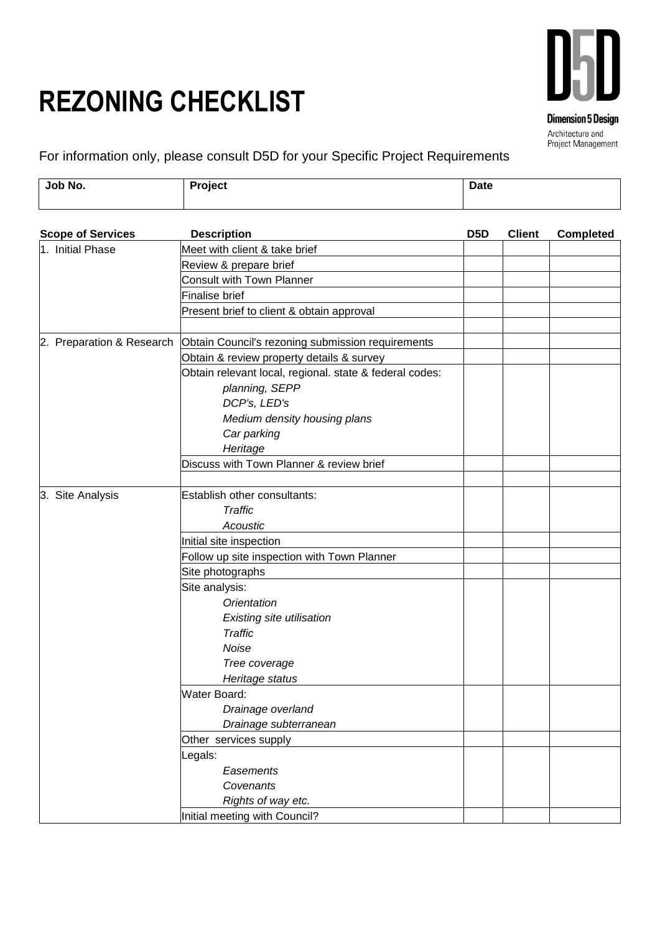## **REZONING CHECKLIST**



For information only, please consult D5D for your Specific Project Requirements

| Job No.<br><b>Project</b><br><b>Date</b> |
|------------------------------------------|
|------------------------------------------|

| <b>Scope of Services</b> | <b>Description</b>                                                          | D <sub>5</sub> D | <b>Client</b> | <b>Completed</b> |
|--------------------------|-----------------------------------------------------------------------------|------------------|---------------|------------------|
| 1. Initial Phase         | Meet with client & take brief                                               |                  |               |                  |
|                          | Review & prepare brief                                                      |                  |               |                  |
|                          | <b>Consult with Town Planner</b>                                            |                  |               |                  |
|                          | Finalise brief                                                              |                  |               |                  |
|                          | Present brief to client & obtain approval                                   |                  |               |                  |
|                          |                                                                             |                  |               |                  |
|                          | 2. Preparation & Research Obtain Council's rezoning submission requirements |                  |               |                  |
|                          | Obtain & review property details & survey                                   |                  |               |                  |
|                          | Obtain relevant local, regional. state & federal codes:                     |                  |               |                  |
|                          | planning, SEPP                                                              |                  |               |                  |
|                          | DCP's, LED's                                                                |                  |               |                  |
|                          | Medium density housing plans                                                |                  |               |                  |
|                          | Car parking                                                                 |                  |               |                  |
|                          | Heritage                                                                    |                  |               |                  |
|                          | Discuss with Town Planner & review brief                                    |                  |               |                  |
|                          |                                                                             |                  |               |                  |
| 3. Site Analysis         | Establish other consultants:                                                |                  |               |                  |
|                          | <b>Traffic</b>                                                              |                  |               |                  |
|                          | Acoustic                                                                    |                  |               |                  |
|                          | Initial site inspection                                                     |                  |               |                  |
|                          | Follow up site inspection with Town Planner                                 |                  |               |                  |
|                          | Site photographs                                                            |                  |               |                  |
|                          | Site analysis:                                                              |                  |               |                  |
|                          | Orientation                                                                 |                  |               |                  |
|                          | Existing site utilisation                                                   |                  |               |                  |
|                          | <b>Traffic</b>                                                              |                  |               |                  |
|                          | Noise                                                                       |                  |               |                  |
|                          | Tree coverage                                                               |                  |               |                  |
|                          | Heritage status                                                             |                  |               |                  |
|                          | <b>Water Board:</b>                                                         |                  |               |                  |
|                          | Drainage overland                                                           |                  |               |                  |
|                          | Drainage subterranean                                                       |                  |               |                  |
|                          | Other services supply                                                       |                  |               |                  |
|                          | Legals:                                                                     |                  |               |                  |
|                          | Easements                                                                   |                  |               |                  |
|                          | Covenants                                                                   |                  |               |                  |
|                          | Rights of way etc.                                                          |                  |               |                  |
|                          | Initial meeting with Council?                                               |                  |               |                  |